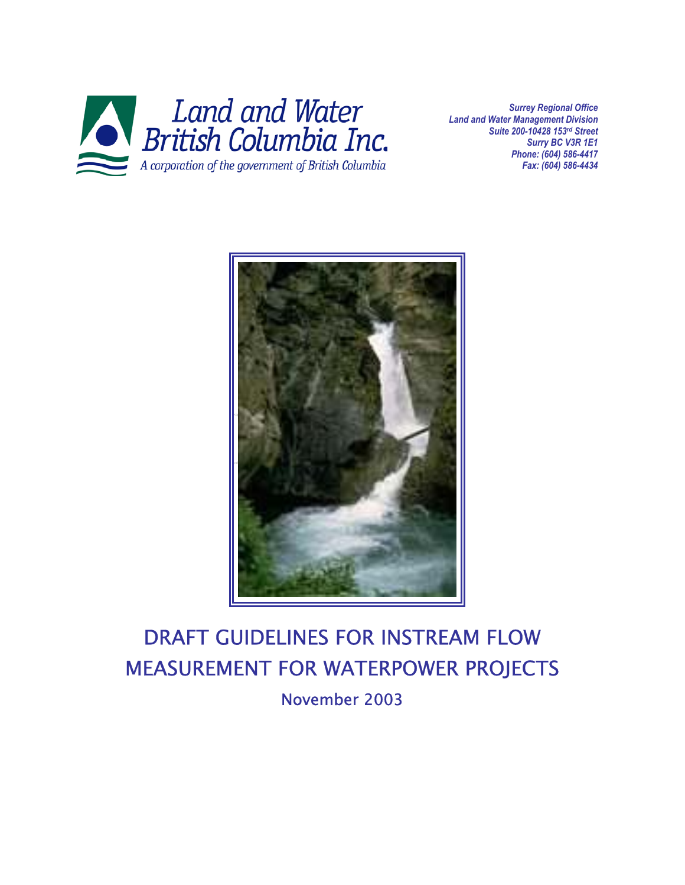

*Surrey Regional Office Land and Water Management Division Suite 200-10428 153rd Street Surry BC V3R 1E1 Phone: (604) 586-4417 Fax: (604) 586-4434*



# DRAFT GUIDELINES FOR INSTREAM FLOW MEASUREMENT FOR WATERPOWER PROJECTS November 2003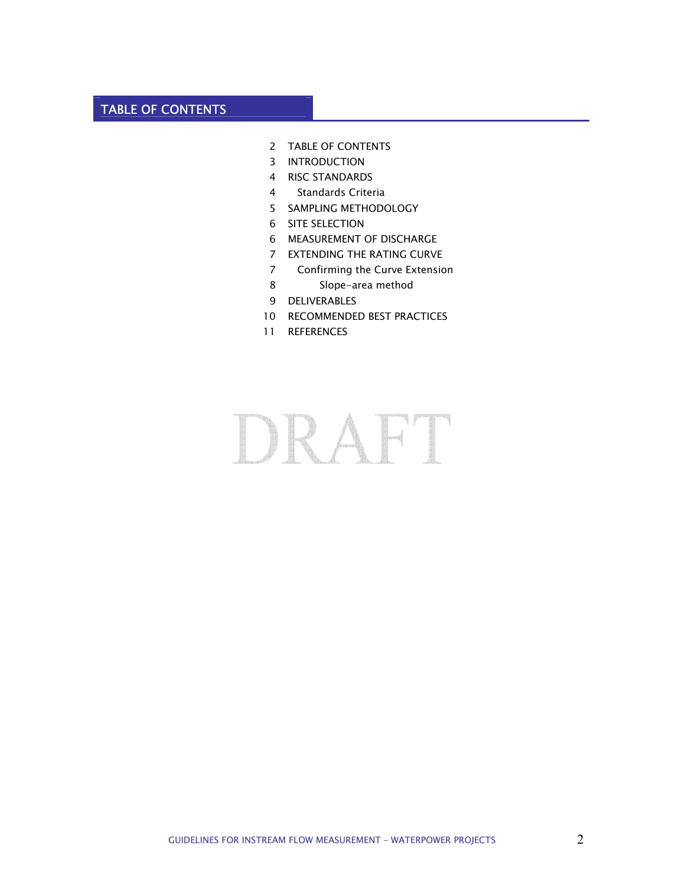# TABLE OF CONTENTS

- TABLE OF CONTENTS
- INTRODUCTION
- RISC STANDARDS
- Standards Criteria
- SAMPLING METHODOLOGY
- SITE SELECTION
- MEASUREMENT OF DISCHARGE
- EXTENDING THE RATING CURVE
- Confirming the Curve Extension
- Slope-area method
- DELIVERABLES
- RECOMMENDED BEST PRACTICES
- REFERENCES

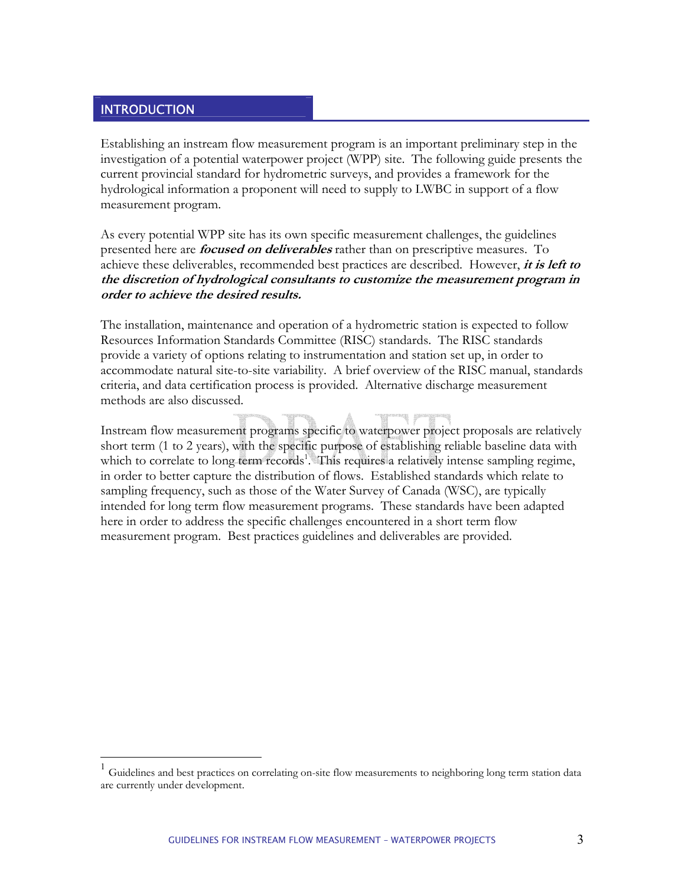## **INTRODUCTION**

 $\overline{a}$ 

Establishing an instream flow measurement program is an important preliminary step in the investigation of a potential waterpower project (WPP) site. The following guide presents the current provincial standard for hydrometric surveys, and provides a framework for the hydrological information a proponent will need to supply to LWBC in support of a flow measurement program.

As every potential WPP site has its own specific measurement challenges, the guidelines presented here are **focused on deliverables** rather than on prescriptive measures. To achieve these deliverables, recommended best practices are described. However, **it is left to the discretion of hydrological consultants to customize the measurement program in order to achieve the desired results.** 

The installation, maintenance and operation of a hydrometric station is expected to follow Resources Information Standards Committee (RISC) standards. The RISC standards provide a variety of options relating to instrumentation and station set up, in order to accommodate natural site-to-site variability. A brief overview of the RISC manual, standards criteria, and data certification process is provided. Alternative discharge measurement methods are also discussed.

Instream flow measurement programs specific to waterpower project proposals are relatively short term (1 to 2 years), with the specific purpose of establishing reliable baseline data with which to correlate to long term records<sup>1</sup>[.](#page-2-0) This requires a relatively intense sampling regime, in order to better capture the distribution of flows. Established standards which relate to sampling frequency, such as those of the Water Survey of Canada (WSC), are typically intended for long term flow measurement programs. These standards have been adapted here in order to address the specific challenges encountered in a short term flow measurement program. Best practices guidelines and deliverables are provided.

<span id="page-2-0"></span><sup>1</sup> Guidelines and best practices on correlating on-site flow measurements to neighboring long term station data are currently under development.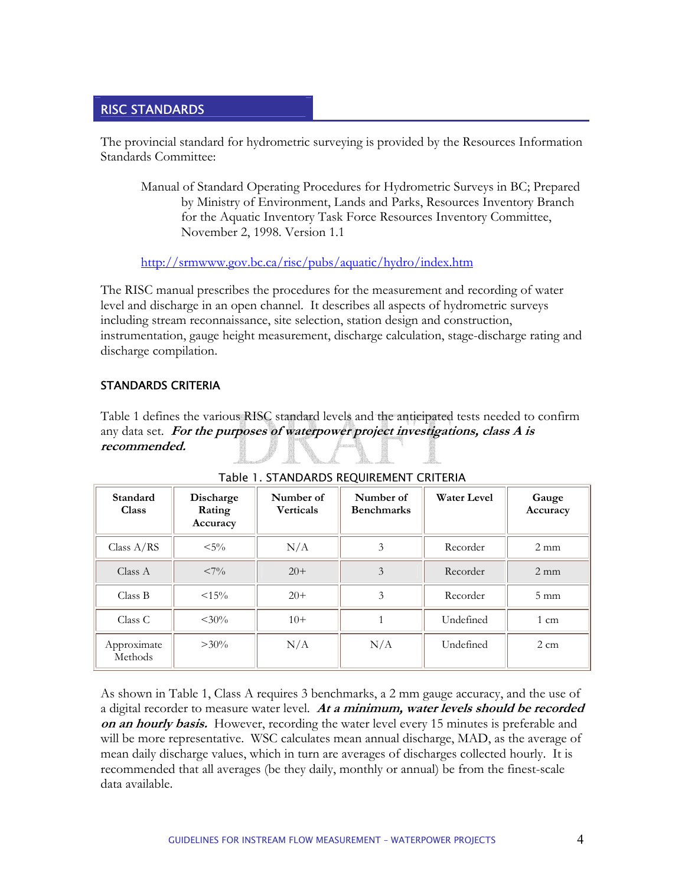## RISC STANDARDS

The provincial standard for hydrometric surveying is provided by the Resources Information Standards Committee:

Manual of Standard Operating Procedures for Hydrometric Surveys in BC; Prepared by Ministry of Environment, Lands and Parks, Resources Inventory Branch for the Aquatic Inventory Task Force Resources Inventory Committee, November 2, 1998. Version 1.1

<http://srmwww.gov.bc.ca/risc/pubs/aquatic/hydro/index.htm>

The RISC manual prescribes the procedures for the measurement and recording of water level and discharge in an open channel. It describes all aspects of hydrometric surveys including stream reconnaissance, site selection, station design and construction, instrumentation, gauge height measurement, discharge calculation, stage-discharge rating and discharge compilation.

## STANDARDS CRITERIA

Table 1 defines the various RISC standard levels and the anticipated tests needed to confirm any data set. For the purposes of waterpower project investigations, class A is **recommended.**

| Standard<br><b>Class</b> | Discharge<br>Rating<br>Accuracy | Number of<br><b>Verticals</b> | Number of<br><b>Benchmarks</b> | <b>Water Level</b> | Gauge<br>Accuracy |
|--------------------------|---------------------------------|-------------------------------|--------------------------------|--------------------|-------------------|
| Class $A/RS$             | $< 5\%$                         | N/A                           | 3                              | Recorder           | $2 \text{ mm}$    |
| Class A                  | $< 7\%$                         | $20+$                         | 3                              | Recorder           | $2 \text{ mm}$    |
| Class B                  | <15%                            | $20+$                         | 3                              | Recorder           | $5 \text{ mm}$    |
| Class C                  | $< 30\%$                        | $10+$                         |                                | Undefined          | $1 \text{ cm}$    |
| Approximate<br>Methods   | $>30\%$                         | N/A                           | N/A                            | Undefined          | $2 \text{ cm}$    |

Table 1. STANDARDS REQUIREMENT CRITERIA

As shown in Table 1, Class A requires 3 benchmarks, a 2 mm gauge accuracy, and the use of a digital recorder to measure water level. **At a minimum, water levels should be recorded on an hourly basis.** However, recording the water level every 15 minutes is preferable and will be more representative.WSC calculates mean annual discharge, MAD, as the average of mean daily discharge values, which in turn are averages of discharges collected hourly. It is recommended that all averages (be they daily, monthly or annual) be from the finest-scale data available.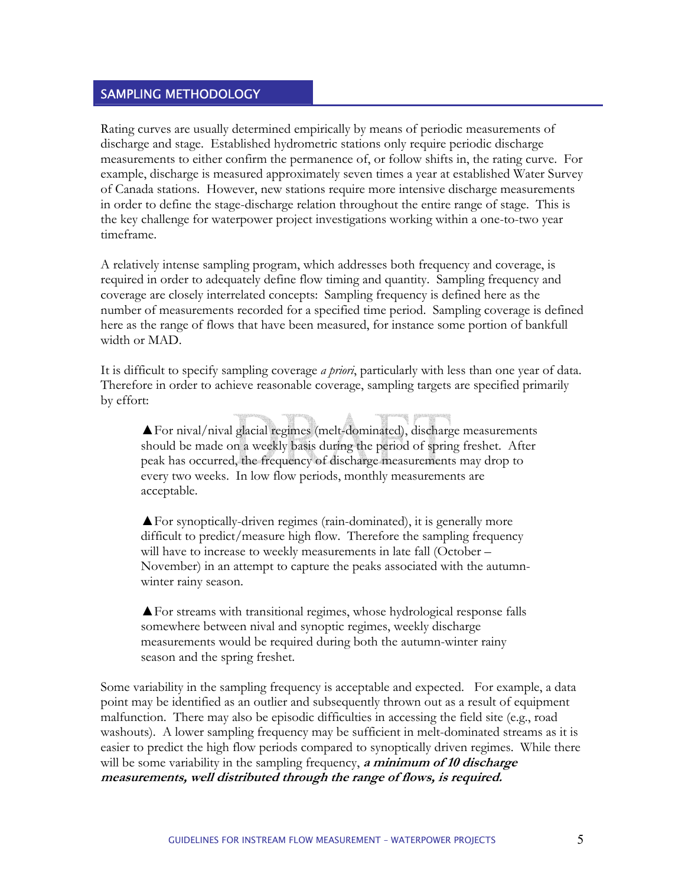#### SAMPLING METHODOLOGY

Rating curves are usually determined empirically by means of periodic measurements of discharge and stage. Established hydrometric stations only require periodic discharge measurements to either confirm the permanence of, or follow shifts in, the rating curve. For example, discharge is measured approximately seven times a year at established Water Survey of Canada stations. However, new stations require more intensive discharge measurements in order to define the stage-discharge relation throughout the entire range of stage. This is the key challenge for waterpower project investigations working within a one-to-two year timeframe.

A relatively intense sampling program, which addresses both frequency and coverage, is required in order to adequately define flow timing and quantity. Sampling frequency and coverage are closely interrelated concepts: Sampling frequency is defined here as the number of measurements recorded for a specified time period. Sampling coverage is defined here as the range of flows that have been measured, for instance some portion of bankfull width or MAD.

It is difficult to specify sampling coverage *a priori*, particularly with less than one year of data. Therefore in order to achieve reasonable coverage, sampling targets are specified primarily by effort:

▲For nival/nival glacial regimes (melt-dominated), discharge measurements should be made on a weekly basis during the period of spring freshet. After peak has occurred, the frequency of discharge measurements may drop to every two weeks. In low flow periods, monthly measurements are acceptable.

▲For synoptically-driven regimes (rain-dominated), it is generally more difficult to predict/measure high flow. Therefore the sampling frequency will have to increase to weekly measurements in late fall (October – November) in an attempt to capture the peaks associated with the autumnwinter rainy season.

▲For streams with transitional regimes, whose hydrological response falls somewhere between nival and synoptic regimes, weekly discharge measurements would be required during both the autumn-winter rainy season and the spring freshet.

Some variability in the sampling frequency is acceptable and expected. For example, a data point may be identified as an outlier and subsequently thrown out as a result of equipment malfunction. There may also be episodic difficulties in accessing the field site (e.g., road washouts). A lower sampling frequency may be sufficient in melt-dominated streams as it is easier to predict the high flow periods compared to synoptically driven regimes. While there will be some variability in the sampling frequency, **a minimum of 10 discharge measurements, well distributed through the range of flows, is required.**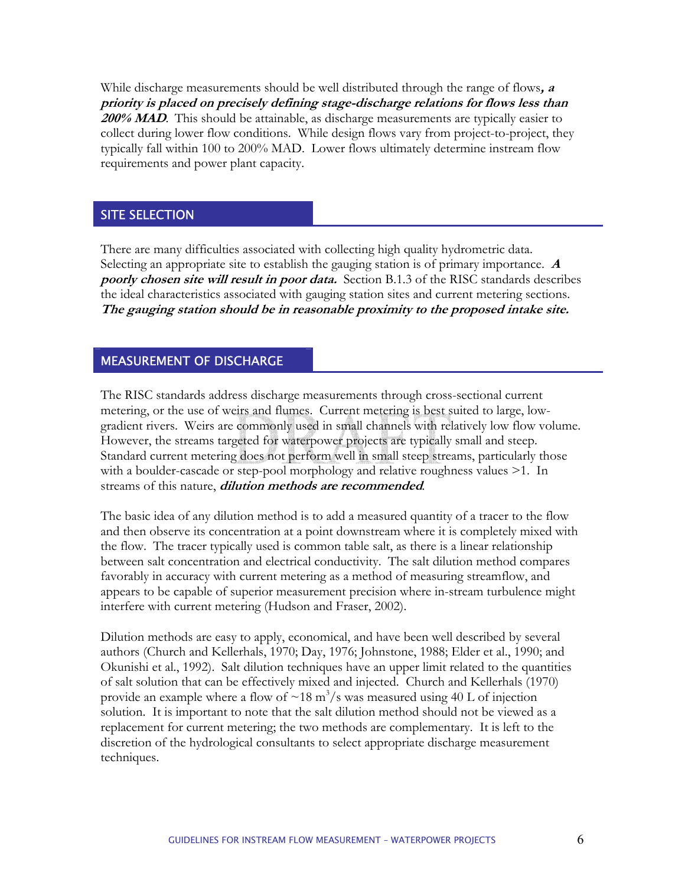While discharge measurements should be well distributed through the range of flows**, <sup>a</sup> priority is placed on precisely defining stage-discharge relations for flows less than 200% MAD**. This should be attainable, as discharge measurements are typically easier to collect during lower flow conditions. While design flows vary from project-to-project, they typically fall within 100 to 200% MAD. Lower flows ultimately determine instream flow requirements and power plant capacity.

# **SITE SELECTION**

There are many difficulties associated with collecting high quality hydrometric data. Selecting an appropriate site to establish the gauging station is of primary importance. **<sup>A</sup> poorly chosen site will result in poor data.** Section B.1.3 of the RISC standards describes the ideal characteristics associated with gauging station sites and current metering sections. **The gauging station should be in reasonable proximity to the proposed intake site.** 

#### MEASUREMENT OF DISCHARGE

The RISC standards address discharge measurements through cross-sectional current metering, or the use of weirs and flumes. Current metering is best suited to large, lowgradient rivers. Weirs are commonly used in small channels with relatively low flow volume. However, the streams targeted for waterpower projects are typically small and steep. Standard current metering does not perform well in small steep streams, particularly those with a boulder-cascade or step-pool morphology and relative roughness values >1. In streams of this nature, **dilution methods are recommended***.*

The basic idea of any dilution method is to add a measured quantity of a tracer to the flow and then observe its concentration at a point downstream where it is completely mixed with the flow. The tracer typically used is common table salt, as there is a linear relationship between salt concentration and electrical conductivity. The salt dilution method compares favorably in accuracy with current metering as a method of measuring streamflow, and appears to be capable of superior measurement precision where in-stream turbulence might interfere with current metering (Hudson and Fraser, 2002).

Dilution methods are easy to apply, economical, and have been well described by several authors (Church and Kellerhals, 1970; Day, 1976; Johnstone, 1988; Elder et al., 1990; and Okunishi et al., 1992). Salt dilution techniques have an upper limit related to the quantities of salt solution that can be effectively mixed and injected. Church and Kellerhals (1970) provide an example where a flow of  $\sim 18 \text{ m}^3/\text{s}$  was measured using 40 L of injection solution. It is important to note that the salt dilution method should not be viewed as a replacement for current metering; the two methods are complementary. It is left to the discretion of the hydrological consultants to select appropriate discharge measurement techniques.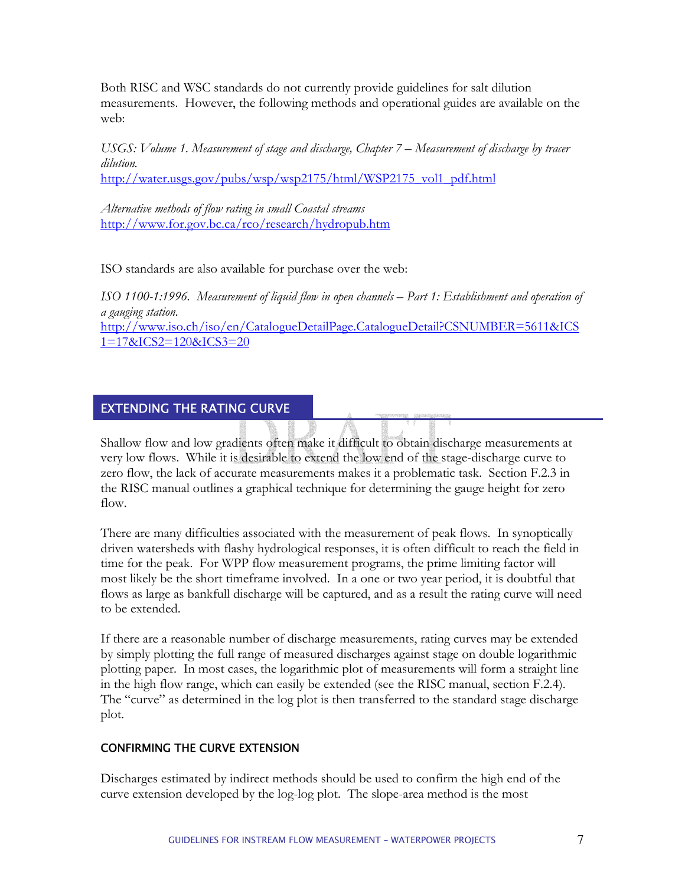Both RISC and WSC standards do not currently provide guidelines for salt dilution measurements. However, the following methods and operational guides are available on the web:

*USGS: Volume 1. Measurement of stage and discharge, Chapter 7 – Measurement of discharge by tracer dilution.* 

[http://water.usgs.gov/pubs/wsp/wsp2175/html/WSP2175\\_vol1\\_pdf.html](http://water.usgs.gov/pubs/wsp/wsp2175/html/WSP2175_vol1_pdf.html)

*Alternative methods of flow rating in small Coastal streams*  <http://www.for.gov.bc.ca/rco/research/hydropub.htm>

ISO standards are also available for purchase over the web:

*ISO 1100-1:1996. Measurement of liquid flow in open channels – Part 1: Establishment and operation of a gauging station.*  [http://www.iso.ch/iso/en/CatalogueDetailPage.CatalogueDetail?CSNUMBER=5611&ICS](http://www.iso.ch/iso/en/CatalogueDetailPage.CatalogueDetail?CSNUMBER=5611&ICS1=17&ICS2=120&ICS3=20)

[1=17&ICS2=120&ICS3=20](http://www.iso.ch/iso/en/CatalogueDetailPage.CatalogueDetail?CSNUMBER=5611&ICS1=17&ICS2=120&ICS3=20)

# EXTENDING THE RATING CURVE

Shallow flow and low gradients often make it difficult to obtain discharge measurements at very low flows. While it is desirable to extend the low end of the stage-discharge curve to zero flow, the lack of accurate measurements makes it a problematic task. Section F.2.3 in the RISC manual outlines a graphical technique for determining the gauge height for zero flow.

There are many difficulties associated with the measurement of peak flows. In synoptically driven watersheds with flashy hydrological responses, it is often difficult to reach the field in time for the peak. For WPP flow measurement programs, the prime limiting factor will most likely be the short timeframe involved. In a one or two year period, it is doubtful that flows as large as bankfull discharge will be captured, and as a result the rating curve will need to be extended.

If there are a reasonable number of discharge measurements, rating curves may be extended by simply plotting the full range of measured discharges against stage on double logarithmic plotting paper. In most cases, the logarithmic plot of measurements will form a straight line in the high flow range, which can easily be extended (see the RISC manual, section F.2.4). The "curve" as determined in the log plot is then transferred to the standard stage discharge plot.

#### CONFIRMING THE CURVE EXTENSION

Discharges estimated by indirect methods should be used to confirm the high end of the curve extension developed by the log-log plot. The slope-area method is the most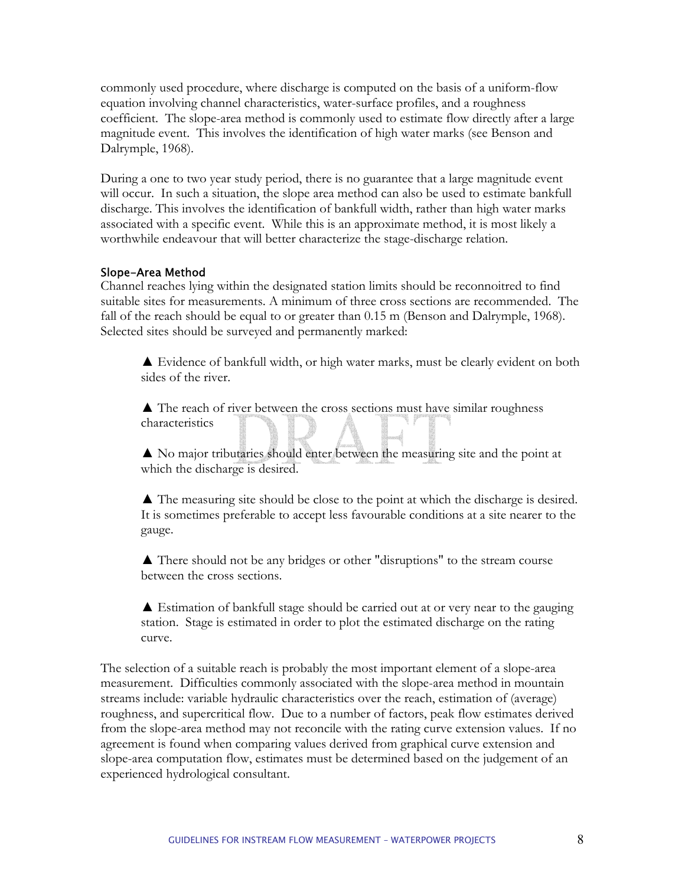commonly used procedure, where discharge is computed on the basis of a uniform-flow equation involving channel characteristics, water-surface profiles, and a roughness coefficient. The slope-area method is commonly used to estimate flow directly after a large magnitude event. This involves the identification of high water marks (see Benson and Dalrymple, 1968).

During a one to two year study period, there is no guarantee that a large magnitude event will occur. In such a situation, the slope area method can also be used to estimate bankfull discharge. This involves the identification of bankfull width, rather than high water marks associated with a specific event. While this is an approximate method, it is most likely a worthwhile endeavour that will better characterize the stage-discharge relation.

#### Slope-Area Method

Channel reaches lying within the designated station limits should be reconnoitred to find suitable sites for measurements. A minimum of three cross sections are recommended. The fall of the reach should be equal to or greater than 0.15 m (Benson and Dalrymple, 1968). Selected sites should be surveyed and permanently marked:

▲ Evidence of bankfull width, or high water marks, must be clearly evident on both sides of the river.

▲ The reach of river between the cross sections must have similar roughness characteristics

▲ No major tributaries should enter between the measuring site and the point at which the discharge is desired.

▲ The measuring site should be close to the point at which the discharge is desired. It is sometimes preferable to accept less favourable conditions at a site nearer to the gauge.

▲ There should not be any bridges or other "disruptions" to the stream course between the cross sections.

▲ Estimation of bankfull stage should be carried out at or very near to the gauging station. Stage is estimated in order to plot the estimated discharge on the rating curve.

The selection of a suitable reach is probably the most important element of a slope-area measurement. Difficulties commonly associated with the slope-area method in mountain streams include: variable hydraulic characteristics over the reach, estimation of (average) roughness, and supercritical flow. Due to a number of factors, peak flow estimates derived from the slope-area method may not reconcile with the rating curve extension values. If no agreement is found when comparing values derived from graphical curve extension and slope-area computation flow, estimates must be determined based on the judgement of an experienced hydrological consultant.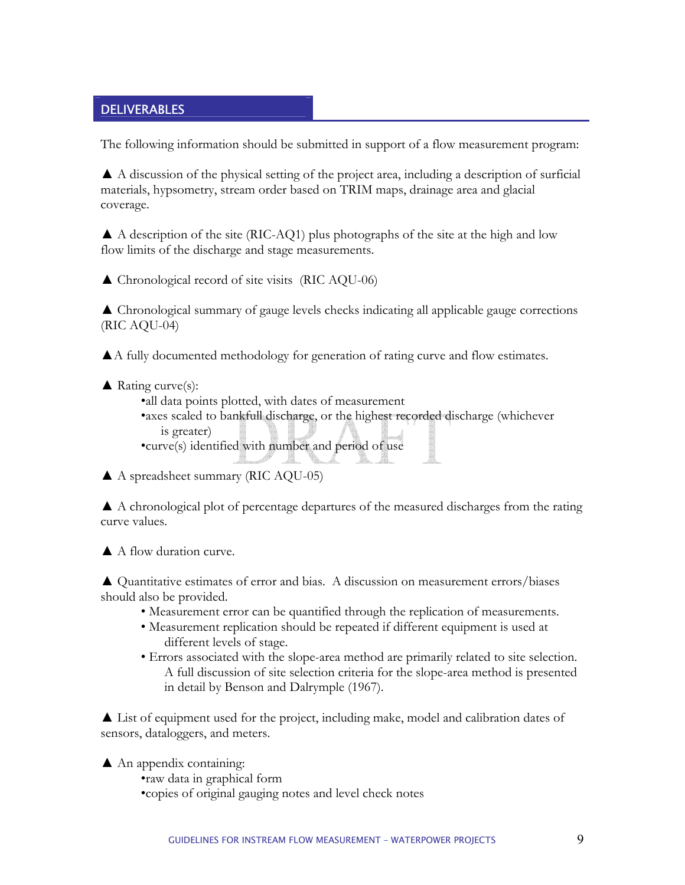## **DELIVERABLES**

The following information should be submitted in support of a flow measurement program:

▲ A discussion of the physical setting of the project area, including a description of surficial materials, hypsometry, stream order based on TRIM maps, drainage area and glacial coverage.

 $\blacktriangle$  A description of the site (RIC-AQ1) plus photographs of the site at the high and low flow limits of the discharge and stage measurements.

▲ Chronological record of site visits (RIC AQU-06)

▲ Chronological summary of gauge levels checks indicating all applicable gauge corrections (RIC AQU-04)

▲A fully documented methodology for generation of rating curve and flow estimates.

 $\triangle$  Rating curve(s):

•all data points plotted, with dates of measurement •axes scaled to bankfull discharge, or the highest recorded discharge (whichever is greater) •curve(s) identified with number and period of use

▲ A spreadsheet summary (RIC AQU-05)

▲ A chronological plot of percentage departures of the measured discharges from the rating curve values.

▲ A flow duration curve.

▲ Quantitative estimates of error and bias. A discussion on measurement errors/biases should also be provided.

- Measurement error can be quantified through the replication of measurements.
- Measurement replication should be repeated if different equipment is used at different levels of stage.
- Errors associated with the slope-area method are primarily related to site selection. A full discussion of site selection criteria for the slope-area method is presented in detail by Benson and Dalrymple (1967).

▲ List of equipment used for the project, including make, model and calibration dates of sensors, dataloggers, and meters.

 $\triangle$  An appendix containing:

•raw data in graphical form •copies of original gauging notes and level check notes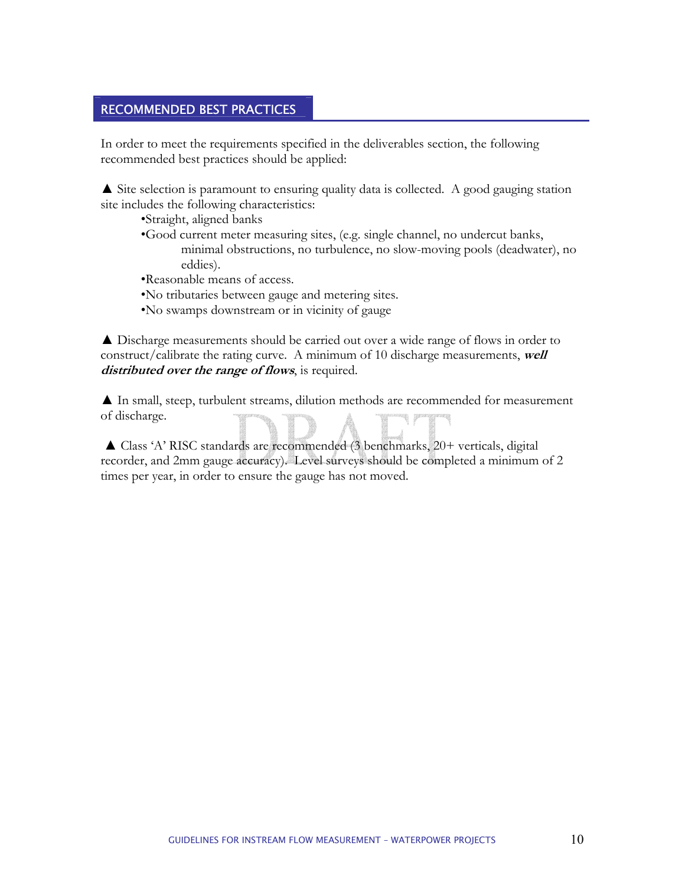#### RECOMMENDED BEST PRACTICES

In order to meet the requirements specified in the deliverables section, the following recommended best practices should be applied:

▲ Site selection is paramount to ensuring quality data is collected. A good gauging station site includes the following characteristics:

•Straight, aligned banks

•Good current meter measuring sites, (e.g. single channel, no undercut banks, minimal obstructions, no turbulence, no slow-moving pools (deadwater), no eddies).

•Reasonable means of access.

•No tributaries between gauge and metering sites.

•No swamps downstream or in vicinity of gauge

▲ Discharge measurements should be carried out over a wide range of flows in order to construct/calibrate the rating curve. A minimum of 10 discharge measurements, **well distributed over the range of flows**, is required.

▲ In small, steep, turbulent streams, dilution methods are recommended for measurement of discharge.

▲ Class 'A' RISC standards are recommended (3 benchmarks, 20+ verticals, digital recorder, and 2mm gauge accuracy). Level surveys should be completed a minimum of 2 times per year, in order to ensure the gauge has not moved.